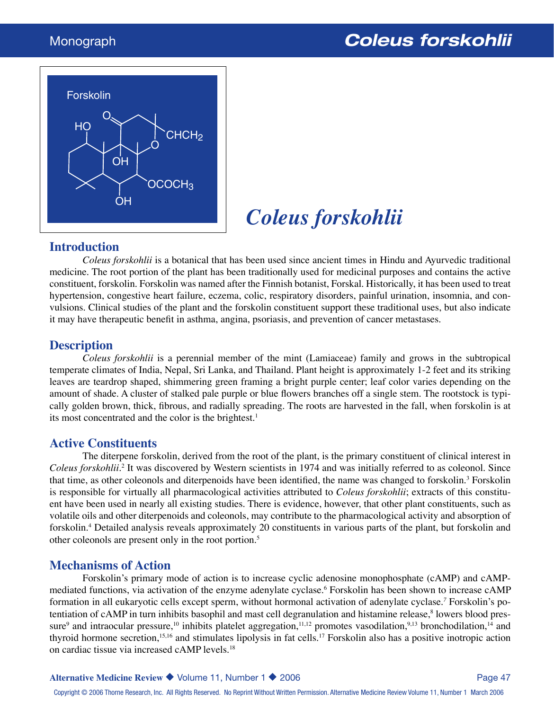

# *Coleus forskohlii*

#### **Introduction**

*Coleus forskohlii* is a botanical that has been used since ancient times in Hindu and Ayurvedic traditional medicine. The root portion of the plant has been traditionally used for medicinal purposes and contains the active constituent, forskolin. Forskolin was named after the Finnish botanist, Forskal. Historically, it has been used to treat hypertension, congestive heart failure, eczema, colic, respiratory disorders, painful urination, insomnia, and convulsions. Clinical studies of the plant and the forskolin constituent support these traditional uses, but also indicate it may have therapeutic benefit in asthma, angina, psoriasis, and prevention of cancer metastases.

#### **Description**

*Coleus forskohlii* is a perennial member of the mint (Lamiaceae) family and grows in the subtropical temperate climates of India, Nepal, Sri Lanka, and Thailand. Plant height is approximately 1-2 feet and its striking leaves are teardrop shaped, shimmering green framing a bright purple center; leaf color varies depending on the amount of shade. A cluster of stalked pale purple or blue flowers branches off a single stem. The rootstock is typically golden brown, thick, fibrous, and radially spreading. The roots are harvested in the fall, when forskolin is at its most concentrated and the color is the brightest.<sup>1</sup>

#### **Active Constituents**

The diterpene forskolin, derived from the root of the plant, is the primary constituent of clinical interest in Coleus forskohlii.<sup>2</sup> It was discovered by Western scientists in 1974 and was initially referred to as coleonol. Since that time, as other coleonols and diterpenoids have been identified, the name was changed to forskolin.<sup>3</sup> Forskolin is responsible for virtually all pharmacological activities attributed to *Coleus forskohlii*; extracts of this constituent have been used in nearly all existing studies. There is evidence, however, that other plant constituents, such as volatile oils and other diterpenoids and coleonols, may contribute to the pharmacological activity and absorption of forskolin.4 Detailed analysis reveals approximately 20 constituents in various parts of the plant, but forskolin and other coleonols are present only in the root portion.5

#### **Mechanisms of Action**

Forskolin's primary mode of action is to increase cyclic adenosine monophosphate (cAMP) and cAMPmediated functions, via activation of the enzyme adenylate cyclase.<sup>6</sup> Forskolin has been shown to increase cAMP formation in all eukaryotic cells except sperm, without hormonal activation of adenylate cyclase.*<sup>7</sup>* Forskolin's potentiation of cAMP in turn inhibits basophil and mast cell degranulation and histamine release,<sup>8</sup> lowers blood pressure<sup>9</sup> and intraocular pressure,<sup>10</sup> inhibits platelet aggregation,<sup>11,12</sup> promotes vasodilation,<sup>9,13</sup> bronchodilation,<sup>14</sup> and thyroid hormone secretion,<sup>15,16</sup> and stimulates lipolysis in fat cells.<sup>17</sup> Forskolin also has a positive inotropic action on cardiac tissue via increased cAMP levels.18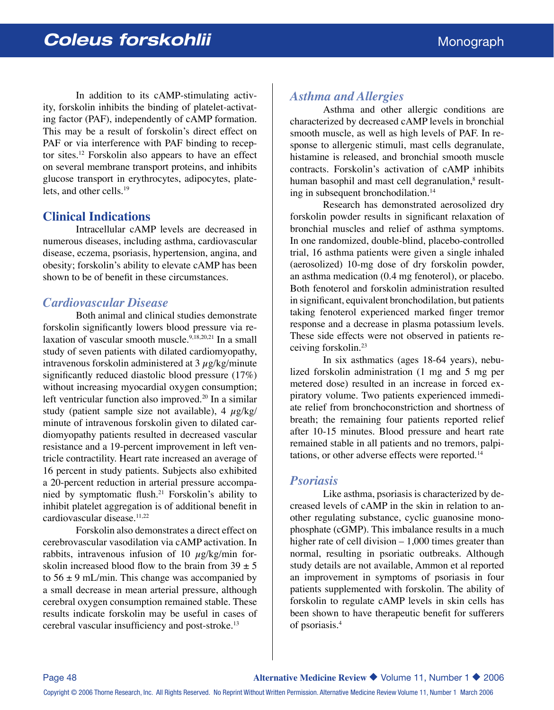In addition to its cAMP-stimulating activity, forskolin inhibits the binding of platelet-activating factor (PAF), independently of cAMP formation. This may be a result of forskolin's direct effect on PAF or via interference with PAF binding to receptor sites.12 Forskolin also appears to have an effect on several membrane transport proteins, and inhibits glucose transport in erythrocytes, adipocytes, platelets, and other cells.19

### **Clinical Indications**

Intracellular cAMP levels are decreased in numerous diseases, including asthma, cardiovascular disease, eczema, psoriasis, hypertension, angina, and obesity; forskolin's ability to elevate cAMP has been shown to be of benefit in these circumstances.

#### *Cardiovascular Disease*

Both animal and clinical studies demonstrate forskolin significantly lowers blood pressure via relaxation of vascular smooth muscle.9,18,20,21 In a small study of seven patients with dilated cardiomyopathy, intravenous forskolin administered at  $3 \mu g/kg$ /minute significantly reduced diastolic blood pressure (17%) without increasing myocardial oxygen consumption; left ventricular function also improved.<sup>20</sup> In a similar study (patient sample size not available),  $4 \mu g/kg$ minute of intravenous forskolin given to dilated cardiomyopathy patients resulted in decreased vascular resistance and a 19-percent improvement in left ventricle contractility. Heart rate increased an average of 16 percent in study patients. Subjects also exhibited a 20-percent reduction in arterial pressure accompanied by symptomatic flush.<sup>21</sup> Forskolin's ability to inhibit platelet aggregation is of additional benefit in cardiovascular disease.<sup>11,22</sup>

Forskolin also demonstrates a direct effect on cerebrovascular vasodilation via cAMP activation. In rabbits, intravenous infusion of 10  $\mu$ g/kg/min forskolin increased blood flow to the brain from  $39 \pm 5$ to  $56 \pm 9$  mL/min. This change was accompanied by a small decrease in mean arterial pressure, although cerebral oxygen consumption remained stable. These results indicate forskolin may be useful in cases of cerebral vascular insufficiency and post-stroke.<sup>13</sup>

### *Asthma and Allergies*

Asthma and other allergic conditions are characterized by decreased cAMP levels in bronchial smooth muscle, as well as high levels of PAF. In response to allergenic stimuli, mast cells degranulate, histamine is released, and bronchial smooth muscle contracts. Forskolin's activation of cAMP inhibits human basophil and mast cell degranulation,<sup>8</sup> resulting in subsequent bronchodilation.<sup>14</sup>

Research has demonstrated aerosolized dry forskolin powder results in significant relaxation of bronchial muscles and relief of asthma symptoms. In one randomized, double-blind, placebo-controlled trial, 16 asthma patients were given a single inhaled (aerosolized) 10-mg dose of dry forskolin powder, an asthma medication (0.4 mg fenoterol), or placebo. Both fenoterol and forskolin administration resulted in significant, equivalent bronchodilation, but patients taking fenoterol experienced marked finger tremor response and a decrease in plasma potassium levels. These side effects were not observed in patients receiving forskolin.23

In six asthmatics (ages 18-64 years), nebulized forskolin administration (1 mg and 5 mg per metered dose) resulted in an increase in forced expiratory volume. Two patients experienced immediate relief from bronchoconstriction and shortness of breath; the remaining four patients reported relief after 10-15 minutes. Blood pressure and heart rate remained stable in all patients and no tremors, palpitations, or other adverse effects were reported.14

#### *Psoriasis*

Like asthma, psoriasis is characterized by decreased levels of cAMP in the skin in relation to another regulating substance, cyclic guanosine monophosphate (cGMP). This imbalance results in a much higher rate of cell division – 1,000 times greater than normal, resulting in psoriatic outbreaks. Although study details are not available, Ammon et al reported an improvement in symptoms of psoriasis in four patients supplemented with forskolin. The ability of forskolin to regulate cAMP levels in skin cells has been shown to have therapeutic benefit for sufferers of psoriasis.4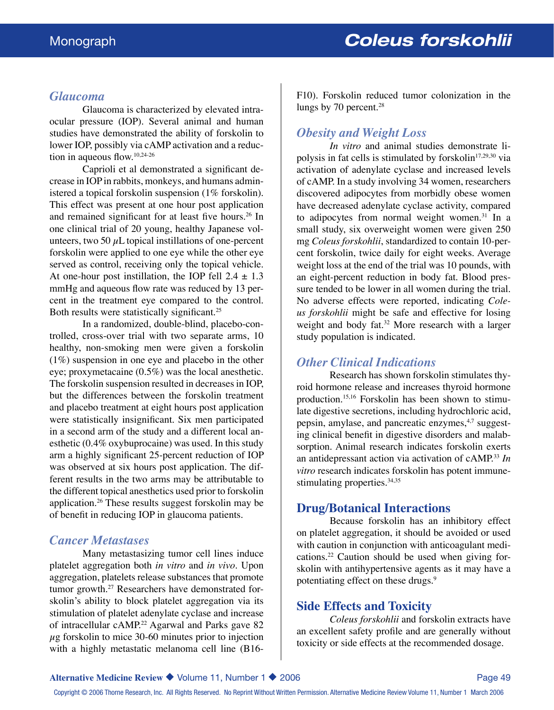#### *Glaucoma*

Glaucoma is characterized by elevated intraocular pressure (IOP). Several animal and human studies have demonstrated the ability of forskolin to lower IOP, possibly via cAMP activation and a reduction in aqueous flow.10,24-26

Caprioli et al demonstrated a significant decrease in IOP in rabbits, monkeys, and humans administered a topical forskolin suspension (1% forskolin). This effect was present at one hour post application and remained significant for at least five hours.<sup>26</sup> In one clinical trial of 20 young, healthy Japanese volunteers, two 50  $\mu$ L topical instillations of one-percent forskolin were applied to one eye while the other eye served as control, receiving only the topical vehicle. At one-hour post instillation, the IOP fell  $2.4 \pm 1.3$ mmHg and aqueous flow rate was reduced by 13 percent in the treatment eye compared to the control. Both results were statistically significant.<sup>25</sup>

In a randomized, double-blind, placebo-controlled, cross-over trial with two separate arms, 10 healthy, non-smoking men were given a forskolin (1%) suspension in one eye and placebo in the other eye; proxymetacaine (0.5%) was the local anesthetic. The forskolin suspension resulted in decreases in IOP, but the differences between the forskolin treatment and placebo treatment at eight hours post application were statistically insignificant. Six men participated in a second arm of the study and a different local anesthetic (0.4% oxybuprocaine) was used. In this study arm a highly significant 25-percent reduction of IOP was observed at six hours post application. The different results in the two arms may be attributable to the different topical anesthetics used prior to forskolin application.26 These results suggest forskolin may be of benefit in reducing IOP in glaucoma patients.

#### *Cancer Metastases*

Many metastasizing tumor cell lines induce platelet aggregation both *in vitro* and *in vivo*. Upon aggregation, platelets release substances that promote tumor growth.<sup>27</sup> Researchers have demonstrated forskolin's ability to block platelet aggregation via its stimulation of platelet adenylate cyclase and increase of intracellular cAMP.<sup>22</sup> Agarwal and Parks gave 82  $\mu$ g forskolin to mice 30-60 minutes prior to injection with a highly metastatic melanoma cell line (B16F10). Forskolin reduced tumor colonization in the lungs by 70 percent.<sup>28</sup>

#### *Obesity and Weight Loss*

*In vitro* and animal studies demonstrate lipolysis in fat cells is stimulated by forskolin<sup>17,29,30</sup> via activation of adenylate cyclase and increased levels of cAMP. In a study involving 34 women, researchers discovered adipocytes from morbidly obese women have decreased adenylate cyclase activity, compared to adipocytes from normal weight women. $31$  In a small study, six overweight women were given 250 mg *Coleus forskohlii*, standardized to contain 10-percent forskolin, twice daily for eight weeks. Average weight loss at the end of the trial was 10 pounds, with an eight-percent reduction in body fat. Blood pressure tended to be lower in all women during the trial. No adverse effects were reported, indicating *Coleus forskohlii* might be safe and effective for losing weight and body fat.<sup>32</sup> More research with a larger study population is indicated.

#### *Other Clinical Indications*

Research has shown forskolin stimulates thyroid hormone release and increases thyroid hormone production.15,16 Forskolin has been shown to stimulate digestive secretions, including hydrochloric acid, pepsin, amylase, and pancreatic enzymes, $4.7$  suggesting clinical benefit in digestive disorders and malabsorption. Animal research indicates forskolin exerts an antidepressant action via activation of cAMP.<sup>33</sup> *In vitro* research indicates forskolin has potent immunestimulating properties.<sup>34,35</sup>

#### **Drug/Botanical Interactions**

Because forskolin has an inhibitory effect on platelet aggregation, it should be avoided or used with caution in conjunction with anticoagulant medications.22 Caution should be used when giving forskolin with antihypertensive agents as it may have a potentiating effect on these drugs.<sup>9</sup>

#### **Side Effects and Toxicity**

*Coleus forskohlii* and forskolin extracts have an excellent safety profile and are generally without toxicity or side effects at the recommended dosage.

Copyright © 2006 Thorne Research, Inc. All Rights Reserved. No Reprint Without Written Permission. Alternative Medicine Review Volume 11, Number 1 March 2006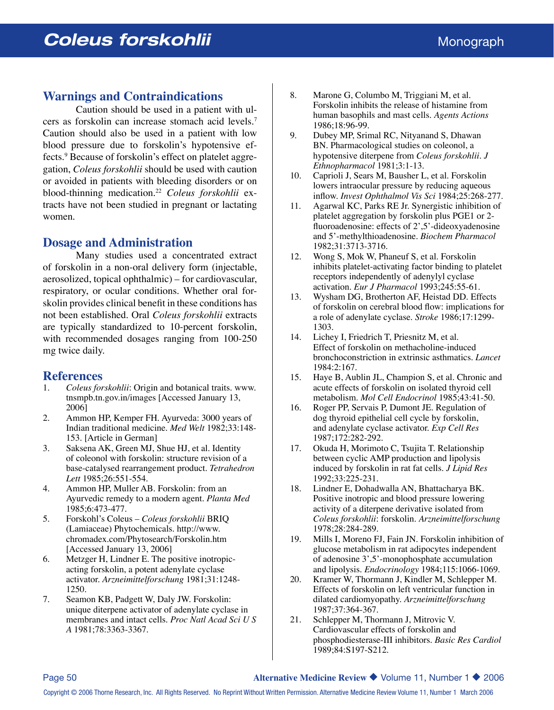#### **Warnings and Contraindications**

Caution should be used in a patient with ulcers as forskolin can increase stomach acid levels.7 Caution should also be used in a patient with low blood pressure due to forskolin's hypotensive effects.9 Because of forskolin's effect on platelet aggregation, *Coleus forskohlii* should be used with caution or avoided in patients with bleeding disorders or on blood-thinning medication.22 *Coleus forskohlii* extracts have not been studied in pregnant or lactating women.

#### **Dosage and Administration**

Many studies used a concentrated extract of forskolin in a non-oral delivery form (injectable, aerosolized, topical ophthalmic) – for cardiovascular, respiratory, or ocular conditions. Whether oral forskolin provides clinical benefit in these conditions has not been established. Oral *Coleus forskohlii* extracts are typically standardized to 10-percent forskolin, with recommended dosages ranging from 100-250 mg twice daily.

## **References**<br>1. Coleus for

- 1. *Coleus forskohlii*: Origin and botanical traits. www. tnsmpb.tn.gov.in/images [Accessed January 13, 2006]
- 2. Ammon HP, Kemper FH. Ayurveda: 3000 years of Indian traditional medicine. *Med Welt* 1982;33:148- 153. [Article in German]
- 3. Saksena AK, Green MJ, Shue HJ, et al. Identity of coleonol with forskolin: structure revision of a base-catalysed rearrangement product. *Tetrahedron Lett* 1985;26:551-554.
- 4. Ammon HP, Muller AB. Forskolin: from an Ayurvedic remedy to a modern agent. *Planta Med* 1985;6:473-477.
- 5. Forskohl's Coleus *Coleus forskohlii* BRIQ (Lamiaceae) Phytochemicals. http://www. chromadex.com/Phytosearch/Forskolin.htm [Accessed January 13, 2006]
- 6. Metzger H, Lindner E. The positive inotropicacting forskolin, a potent adenylate cyclase activator. *Arzneimittelforschung* 1981;31:1248- 1250.
- 7. Seamon KB, Padgett W, Daly JW. Forskolin: unique diterpene activator of adenylate cyclase in membranes and intact cells. *Proc Natl Acad Sci U S A* 1981;78:3363-3367.
- 8. Marone G, Columbo M, Triggiani M, et al. Forskolin inhibits the release of histamine from human basophils and mast cells. *Agents Actions* 1986;18:96-99.
- 9. Dubey MP, Srimal RC, Nityanand S, Dhawan BN. Pharmacological studies on coleonol, a hypotensive diterpene from *Coleus forskohlii. J Ethnopharmacol* 1981;3:1-13.
- 10. Caprioli J, Sears M, Bausher L, et al. Forskolin lowers intraocular pressure by reducing aqueous inflow. *Invest Ophthalmol Vis Sci* 1984;25:268-277.
- 11. Agarwal KC, Parks RE Jr. Synergistic inhibition of platelet aggregation by forskolin plus PGE1 or 2 fluoroadenosine: effects of 2',5'-dideoxyadenosine and 5'-methylthioadenosine. *Biochem Pharmacol* 1982;31:3713-3716.
- 12. Wong S, Mok W, Phaneuf S, et al. Forskolin inhibits platelet-activating factor binding to platelet receptors independently of adenylyl cyclase activation. *Eur J Pharmacol* 1993;245:55-61.
- 13. Wysham DG, Brotherton AF, Heistad DD. Effects of forskolin on cerebral blood flow: implications for a role of adenylate cyclase. *Stroke* 1986;17:1299- 1303.
- 14. Lichey I, Friedrich T, Priesnitz M, et al. Effect of forskolin on methacholine-induced bronchoconstriction in extrinsic asthmatics. *Lancet* 1984:2:167.
- 15. Haye B, Aublin JL, Champion S, et al. Chronic and acute effects of forskolin on isolated thyroid cell metabolism. *Mol Cell Endocrinol* 1985;43:41-50.
- 16. Roger PP, Servais P, Dumont JE. Regulation of dog thyroid epithelial cell cycle by forskolin, and adenylate cyclase activator. *Exp Cell Res* 1987;172:282-292.
- 17. Okuda H, Morimoto C, Tsujita T. Relationship between cyclic AMP production and lipolysis induced by forskolin in rat fat cells. *J Lipid Res* 1992;33:225-231.
- 18. Lindner E, Dohadwalla AN, Bhattacharya BK. Positive inotropic and blood pressure lowering activity of a diterpene derivative isolated from *Coleus forskohlii*: forskolin. *Arzneimittelforschung*  1978;28:284-289*.*
- 19. Mills I, Moreno FJ, Fain JN. Forskolin inhibition of glucose metabolism in rat adipocytes independent of adenosine 3',5'-monophosphate accumulation and lipolysis. *Endocrinology* 1984;115:1066-1069.
- 20. Kramer W, Thormann J, Kindler M, Schlepper M. Effects of forskolin on left ventricular function in dilated cardiomyopathy. *Arzneimittelforschung*  1987;37:364-367.
- 21. Schlepper M, Thormann J, Mitrovic V. Cardiovascular effects of forskolin and phosphodiesterase-III inhibitors. *Basic Res Cardiol* 1989;84:S197-S212.